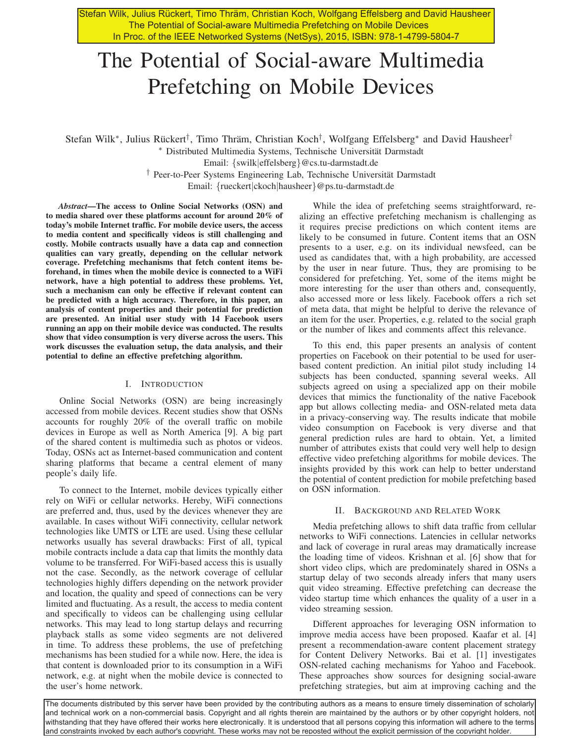Stefan Wilk, Julius Rückert, Timo Thräm, Christian Koch, Wolfgang Effelsberg and David Hausheer The Potential of Social-aware Multimedia Prefetching on Mobile Devices In Proc. of the IEEE Networked Systems (NetSys), 2015, ISBN: 978-1-4799-5804-7

# The Potential of Social-aware Multimedia Prefetching on Mobile Devices

Stefan Wilk<sup>∗</sup>, Julius Rückert<sup>†</sup>, Timo Thräm, Christian Koch<sup>†</sup>, Wolfgang Effelsberg<sup>∗</sup> and David Hausheer<sup>†</sup>

∗ Distributed Multimedia Systems, Technische Universitat Darmstadt ¨

Email: {swilk|effelsberg}@cs.tu-darmstadt.de

† Peer-to-Peer Systems Engineering Lab, Technische Universitat Darmstadt ¨

Email: {rueckert|ckoch|hausheer}@ps.tu-darmstadt.de

*Abstract*—The access to Online Social Networks (OSN) and to media shared over these platforms account for around 20% of today's mobile Internet traffic. For mobile device users, the access to media content and specifically videos is still challenging and costly. Mobile contracts usually have a data cap and connection qualities can vary greatly, depending on the cellular network coverage. Prefetching mechanisms that fetch content items beforehand, in times when the mobile device is connected to a WiFi network, have a high potential to address these problems. Yet, such a mechanism can only be effective if relevant content can be predicted with a high accuracy. Therefore, in this paper, an analysis of content properties and their potential for prediction are presented. An initial user study with 14 Facebook users running an app on their mobile device was conducted. The results show that video consumption is very diverse across the users. This work discusses the evaluation setup, the data analysis, and their potential to define an effective prefetching algorithm.

## I. INTRODUCTION

Online Social Networks (OSN) are being increasingly accessed from mobile devices. Recent studies show that OSNs accounts for roughly 20% of the overall traffic on mobile devices in Europe as well as North America [9]. A big part of the shared content is multimedia such as photos or videos. Today, OSNs act as Internet-based communication and content sharing platforms that became a central element of many people's daily life.

To connect to the Internet, mobile devices typically either rely on WiFi or cellular networks. Hereby, WiFi connections are preferred and, thus, used by the devices whenever they are available. In cases without WiFi connectivity, cellular network technologies like UMTS or LTE are used. Using these cellular networks usually has several drawbacks: First of all, typical mobile contracts include a data cap that limits the monthly data volume to be transferred. For WiFi-based access this is usually not the case. Secondly, as the network coverage of cellular technologies highly differs depending on the network provider and location, the quality and speed of connections can be very limited and fluctuating. As a result, the access to media content and specifically to videos can be challenging using cellular networks. This may lead to long startup delays and recurring playback stalls as some video segments are not delivered in time. To address these problems, the use of prefetching mechanisms has been studied for a while now. Here, the idea is that content is downloaded prior to its consumption in a WiFi network, e.g. at night when the mobile device is connected to the user's home network.

While the idea of prefetching seems straightforward, realizing an effective prefetching mechanism is challenging as it requires precise predictions on which content items are likely to be consumed in future. Content items that an OSN presents to a user, e.g. on its individual newsfeed, can be used as candidates that, with a high probability, are accessed by the user in near future. Thus, they are promising to be considered for prefetching. Yet, some of the items might be more interesting for the user than others and, consequently, also accessed more or less likely. Facebook offers a rich set of meta data, that might be helpful to derive the relevance of an item for the user. Properties, e.g. related to the social graph or the number of likes and comments affect this relevance.

To this end, this paper presents an analysis of content properties on Facebook on their potential to be used for userbased content prediction. An initial pilot study including 14 subjects has been conducted, spanning several weeks. All subjects agreed on using a specialized app on their mobile devices that mimics the functionality of the native Facebook app but allows collecting media- and OSN-related meta data in a privacy-conserving way. The results indicate that mobile video consumption on Facebook is very diverse and that general prediction rules are hard to obtain. Yet, a limited number of attributes exists that could very well help to design effective video prefetching algorithms for mobile devices. The insights provided by this work can help to better understand the potential of content prediction for mobile prefetching based on OSN information.

## II. BACKGROUND AND RELATED WORK

Media prefetching allows to shift data traffic from cellular networks to WiFi connections. Latencies in cellular networks and lack of coverage in rural areas may dramatically increase the loading time of videos. Krishnan et al. [6] show that for short video clips, which are predominately shared in OSNs a startup delay of two seconds already infers that many users quit video streaming. Effective prefetching can decrease the video startup time which enhances the quality of a user in a video streaming session.

Different approaches for leveraging OSN information to improve media access have been proposed. Kaafar et al. [4] present a recommendation-aware content placement strategy for Content Delivery Networks. Bai et al. [1] investigates OSN-related caching mechanisms for Yahoo and Facebook. These approaches show sources for designing social-aware prefetching strategies, but aim at improving caching and the

The aocuments aistributed by this server have been provided by the contributing authors as a means to ensure timely dissemination or scholarly<br>and technical work on a non-commercial basis. Copyright and all rights therein The documents distributed by this server have been provided by the contributing authors as a means to ensure timely dissemination of scholarly withstanding that they have offered their works here electronically. It is understood that all persons copying this information will adhere to the terms and constraints invoked by each author's copyright. These works may not be reposted without the explicit permission of the copyright holder.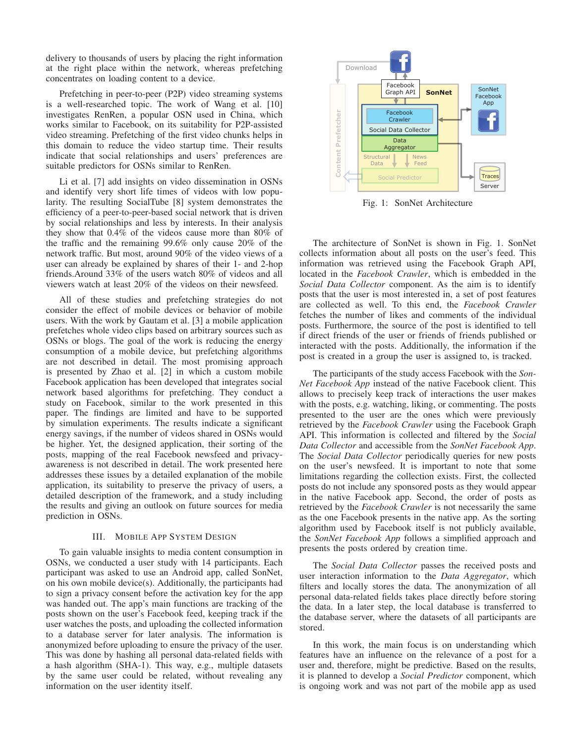delivery to thousands of users by placing the right information at the right place within the network, whereas prefetching concentrates on loading content to a device.

Prefetching in peer-to-peer (P2P) video streaming systems is a well-researched topic. The work of Wang et al. [10] investigates RenRen, a popular OSN used in China, which works similar to Facebook, on its suitability for P2P-assisted video streaming. Prefetching of the first video chunks helps in this domain to reduce the video startup time. Their results indicate that social relationships and users' preferences are suitable predictors for OSNs similar to RenRen.

Li et al. [7] add insights on video dissemination in OSNs and identify very short life times of videos with low popularity. The resulting SocialTube [8] system demonstrates the efficiency of a peer-to-peer-based social network that is driven by social relationships and less by interests. In their analysis they show that 0.4% of the videos cause more than 80% of the traffic and the remaining 99.6% only cause 20% of the network traffic. But most, around 90% of the video views of a user can already be explained by shares of their 1- and 2-hop friends.Around 33% of the users watch 80% of videos and all viewers watch at least 20% of the videos on their newsfeed.

All of these studies and prefetching strategies do not consider the effect of mobile devices or behavior of mobile users. With the work by Gautam et al. [3] a mobile application prefetches whole video clips based on arbitrary sources such as OSNs or blogs. The goal of the work is reducing the energy consumption of a mobile device, but prefetching algorithms are not described in detail. The most promising approach is presented by Zhao et al. [2] in which a custom mobile Facebook application has been developed that integrates social network based algorithms for prefetching. They conduct a study on Facebook, similar to the work presented in this paper. The findings are limited and have to be supported by simulation experiments. The results indicate a significant energy savings, if the number of videos shared in OSNs would be higher. Yet, the designed application, their sorting of the posts, mapping of the real Facebook newsfeed and privacyawareness is not described in detail. The work presented here addresses these issues by a detailed explanation of the mobile application, its suitability to preserve the privacy of users, a detailed description of the framework, and a study including the results and giving an outlook on future sources for media prediction in OSNs.

## III. MOBILE APP SYSTEM DESIGN

To gain valuable insights to media content consumption in OSNs, we conducted a user study with 14 participants. Each participant was asked to use an Android app, called SonNet, on his own mobile device(s). Additionally, the participants had to sign a privacy consent before the activation key for the app was handed out. The app's main functions are tracking of the posts shown on the user's Facebook feed, keeping track if the user watches the posts, and uploading the collected information to a database server for later analysis. The information is anonymized before uploading to ensure the privacy of the user. This was done by hashing all personal data-related fields with a hash algorithm (SHA-1). This way, e.g., multiple datasets by the same user could be related, without revealing any information on the user identity itself.



Fig. 1: SonNet Architecture

The architecture of SonNet is shown in Fig. 1. SonNet collects information about all posts on the user's feed. This information was retrieved using the Facebook Graph API, located in the *Facebook Crawler*, which is embedded in the *Social Data Collector* component. As the aim is to identify posts that the user is most interested in, a set of post features are collected as well. To this end, the *Facebook Crawler* fetches the number of likes and comments of the individual posts. Furthermore, the source of the post is identified to tell if direct friends of the user or friends of friends published or interacted with the posts. Additionally, the information if the post is created in a group the user is assigned to, is tracked.

The participants of the study access Facebook with the *Son-Net Facebook App* instead of the native Facebook client. This allows to precisely keep track of interactions the user makes with the posts, e.g. watching, liking, or commenting. The posts presented to the user are the ones which were previously retrieved by the *Facebook Crawler* using the Facebook Graph API. This information is collected and filtered by the *Social Data Collector* and accessible from the *SonNet Facebook App*. The *Social Data Collector* periodically queries for new posts on the user's newsfeed. It is important to note that some limitations regarding the collection exists. First, the collected posts do not include any sponsored posts as they would appear in the native Facebook app. Second, the order of posts as retrieved by the *Facebook Crawler* is not necessarily the same as the one Facebook presents in the native app. As the sorting algorithm used by Facebook itself is not publicly available, the *SonNet Facebook App* follows a simplified approach and presents the posts ordered by creation time.

The *Social Data Collector* passes the received posts and user interaction information to the *Data Aggregator*, which filters and locally stores the data. The anonymization of all personal data-related fields takes place directly before storing the data. In a later step, the local database is transferred to the database server, where the datasets of all participants are stored.

In this work, the main focus is on understanding which features have an influence on the relevance of a post for a user and, therefore, might be predictive. Based on the results, it is planned to develop a *Social Predictor* component, which is ongoing work and was not part of the mobile app as used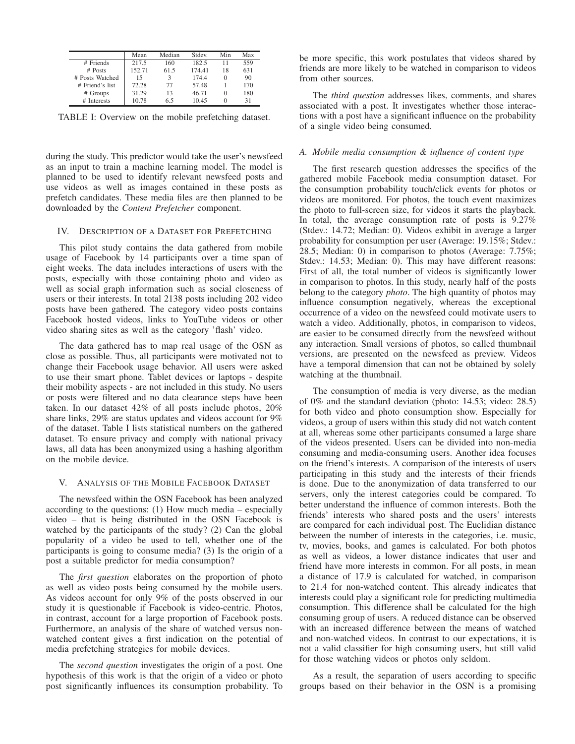|                 | Mean   | Median | Stdev. | Min      | Max |
|-----------------|--------|--------|--------|----------|-----|
| # Friends       | 217.5  | 160    | 182.5  | 11       | 559 |
| $#$ Posts       | 152.71 | 61.5   | 17441  | 18       | 631 |
| # Posts Watched | 15     | 3      | 1744   | $\Omega$ | 90  |
| # Friend's list | 72.28  | 77     | 57.48  |          | 170 |
| # Groups        | 31.29  | 13     | 46.71  | $\Omega$ | 180 |
| # Interests     | 10.78  | 6.5    | 10.45  | $\Omega$ | 31  |

TABLE I: Overview on the mobile prefetching dataset.

during the study. This predictor would take the user's newsfeed as an input to train a machine learning model. The model is planned to be used to identify relevant newsfeed posts and use videos as well as images contained in these posts as prefetch candidates. These media files are then planned to be downloaded by the *Content Prefetcher* component.

#### IV. DESCRIPTION OF A DATASET FOR PREFETCHING

This pilot study contains the data gathered from mobile usage of Facebook by 14 participants over a time span of eight weeks. The data includes interactions of users with the posts, especially with those containing photo and video as well as social graph information such as social closeness of users or their interests. In total 2138 posts including 202 video posts have been gathered. The category video posts contains Facebook hosted videos, links to YouTube videos or other video sharing sites as well as the category 'flash' video.

The data gathered has to map real usage of the OSN as close as possible. Thus, all participants were motivated not to change their Facebook usage behavior. All users were asked to use their smart phone. Tablet devices or laptops - despite their mobility aspects - are not included in this study. No users or posts were filtered and no data clearance steps have been taken. In our dataset 42% of all posts include photos, 20% share links, 29% are status updates and videos account for 9% of the dataset. Table I lists statistical numbers on the gathered dataset. To ensure privacy and comply with national privacy laws, all data has been anonymized using a hashing algorithm on the mobile device.

#### V. ANALYSIS OF THE MOBILE FACEBOOK DATASET

The newsfeed within the OSN Facebook has been analyzed according to the questions: (1) How much media – especially video – that is being distributed in the OSN Facebook is watched by the participants of the study? (2) Can the global popularity of a video be used to tell, whether one of the participants is going to consume media? (3) Is the origin of a post a suitable predictor for media consumption?

The *first question* elaborates on the proportion of photo as well as video posts being consumed by the mobile users. As videos account for only 9% of the posts observed in our study it is questionable if Facebook is video-centric. Photos, in contrast, account for a large proportion of Facebook posts. Furthermore, an analysis of the share of watched versus nonwatched content gives a first indication on the potential of media prefetching strategies for mobile devices.

The *second question* investigates the origin of a post. One hypothesis of this work is that the origin of a video or photo post significantly influences its consumption probability. To be more specific, this work postulates that videos shared by friends are more likely to be watched in comparison to videos from other sources.

The *third question* addresses likes, comments, and shares associated with a post. It investigates whether those interactions with a post have a significant influence on the probability of a single video being consumed.

#### *A. Mobile media consumption & influence of content type*

The first research question addresses the specifics of the gathered mobile Facebook media consumption dataset. For the consumption probability touch/click events for photos or videos are monitored. For photos, the touch event maximizes the photo to full-screen size, for videos it starts the playback. In total, the average consumption rate of posts is 9.27% (Stdev.: 14.72; Median: 0). Videos exhibit in average a larger probability for consumption per user (Average: 19.15%; Stdev.: 28.5; Median: 0) in comparison to photos (Average: 7.75%; Stdev.: 14.53; Median: 0). This may have different reasons: First of all, the total number of videos is significantly lower in comparison to photos. In this study, nearly half of the posts belong to the category *photo*. The high quantity of photos may influence consumption negatively, whereas the exceptional occurrence of a video on the newsfeed could motivate users to watch a video. Additionally, photos, in comparison to videos, are easier to be consumed directly from the newsfeed without any interaction. Small versions of photos, so called thumbnail versions, are presented on the newsfeed as preview. Videos have a temporal dimension that can not be obtained by solely watching at the thumbnail.

The consumption of media is very diverse, as the median of 0% and the standard deviation (photo: 14.53; video: 28.5) for both video and photo consumption show. Especially for videos, a group of users within this study did not watch content at all, whereas some other participants consumed a large share of the videos presented. Users can be divided into non-media consuming and media-consuming users. Another idea focuses on the friend's interests. A comparison of the interests of users participating in this study and the interests of their friends is done. Due to the anonymization of data transferred to our servers, only the interest categories could be compared. To better understand the influence of common interests. Both the friends' interests who shared posts and the users' interests are compared for each individual post. The Euclidian distance between the number of interests in the categories, i.e. music, tv, movies, books, and games is calculated. For both photos as well as videos, a lower distance indicates that user and friend have more interests in common. For all posts, in mean a distance of 17.9 is calculated for watched, in comparison to 21.4 for non-watched content. This already indicates that interests could play a significant role for predicting multimedia consumption. This difference shall be calculated for the high consuming group of users. A reduced distance can be observed with an increased difference between the means of watched and non-watched videos. In contrast to our expectations, it is not a valid classifier for high consuming users, but still valid for those watching videos or photos only seldom.

As a result, the separation of users according to specific groups based on their behavior in the OSN is a promising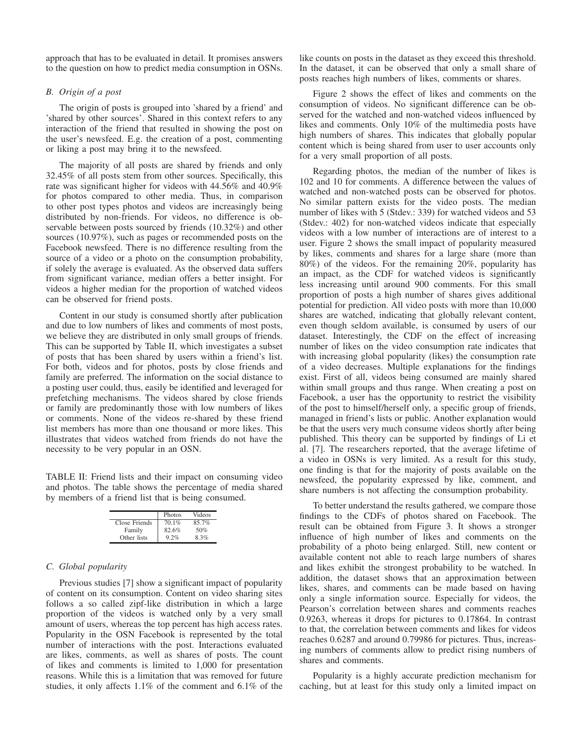approach that has to be evaluated in detail. It promises answers to the question on how to predict media consumption in OSNs.

# *B. Origin of a post*

The origin of posts is grouped into 'shared by a friend' and 'shared by other sources'. Shared in this context refers to any interaction of the friend that resulted in showing the post on the user's newsfeed. E.g. the creation of a post, commenting or liking a post may bring it to the newsfeed.

The majority of all posts are shared by friends and only 32.45% of all posts stem from other sources. Specifically, this rate was significant higher for videos with 44.56% and 40.9% for photos compared to other media. Thus, in comparison to other post types photos and videos are increasingly being distributed by non-friends. For videos, no difference is observable between posts sourced by friends (10.32%) and other sources (10.97%), such as pages or recommended posts on the Facebook newsfeed. There is no difference resulting from the source of a video or a photo on the consumption probability, if solely the average is evaluated. As the observed data suffers from significant variance, median offers a better insight. For videos a higher median for the proportion of watched videos can be observed for friend posts.

Content in our study is consumed shortly after publication and due to low numbers of likes and comments of most posts, we believe they are distributed in only small groups of friends. This can be supported by Table II, which investigates a subset of posts that has been shared by users within a friend's list. For both, videos and for photos, posts by close friends and family are preferred. The information on the social distance to a posting user could, thus, easily be identified and leveraged for prefetching mechanisms. The videos shared by close friends or family are predominantly those with low numbers of likes or comments. None of the videos re-shared by these friend list members has more than one thousand or more likes. This illustrates that videos watched from friends do not have the necessity to be very popular in an OSN.

TABLE II: Friend lists and their impact on consuming video and photos. The table shows the percentage of media shared by members of a friend list that is being consumed.

|               | Photos | Videos |
|---------------|--------|--------|
| Close Friends | 70.1%  | 85.7%  |
| Family        | 82.6%  | 50%    |
| Other lists   | 92%    | 8.3%   |

## *C. Global popularity*

Previous studies [7] show a significant impact of popularity of content on its consumption. Content on video sharing sites follows a so called zipf-like distribution in which a large proportion of the videos is watched only by a very small amount of users, whereas the top percent has high access rates. Popularity in the OSN Facebook is represented by the total number of interactions with the post. Interactions evaluated are likes, comments, as well as shares of posts. The count of likes and comments is limited to 1,000 for presentation reasons. While this is a limitation that was removed for future studies, it only affects 1.1% of the comment and 6.1% of the like counts on posts in the dataset as they exceed this threshold. In the dataset, it can be observed that only a small share of posts reaches high numbers of likes, comments or shares.

Figure 2 shows the effect of likes and comments on the consumption of videos. No significant difference can be observed for the watched and non-watched videos influenced by likes and comments. Only 10% of the multimedia posts have high numbers of shares. This indicates that globally popular content which is being shared from user to user accounts only for a very small proportion of all posts.

Regarding photos, the median of the number of likes is 102 and 10 for comments. A difference between the values of watched and non-watched posts can be observed for photos. No similar pattern exists for the video posts. The median number of likes with 5 (Stdev.: 339) for watched videos and 53 (Stdev.: 402) for non-watched videos indicate that especially videos with a low number of interactions are of interest to a user. Figure 2 shows the small impact of popularity measured by likes, comments and shares for a large share (more than 80%) of the videos. For the remaining 20%, popularity has an impact, as the CDF for watched videos is significantly less increasing until around 900 comments. For this small proportion of posts a high number of shares gives additional potential for prediction. All video posts with more than 10,000 shares are watched, indicating that globally relevant content, even though seldom available, is consumed by users of our dataset. Interestingly, the CDF on the effect of increasing number of likes on the video consumption rate indicates that with increasing global popularity (likes) the consumption rate of a video decreases. Multiple explanations for the findings exist. First of all, videos being consumed are mainly shared within small groups and thus range. When creating a post on Facebook, a user has the opportunity to restrict the visibility of the post to himself/herself only, a specific group of friends, managed in friend's lists or public. Another explanation would be that the users very much consume videos shortly after being published. This theory can be supported by findings of Li et al. [7]. The researchers reported, that the average lifetime of a video in OSNs is very limited. As a result for this study, one finding is that for the majority of posts available on the newsfeed, the popularity expressed by like, comment, and share numbers is not affecting the consumption probability.

To better understand the results gathered, we compare those findings to the CDFs of photos shared on Facebook. The result can be obtained from Figure 3. It shows a stronger influence of high number of likes and comments on the probability of a photo being enlarged. Still, new content or available content not able to reach large numbers of shares and likes exhibit the strongest probability to be watched. In addition, the dataset shows that an approximation between likes, shares, and comments can be made based on having only a single information source. Especially for videos, the Pearson's correlation between shares and comments reaches 0.9263, whereas it drops for pictures to 0.17864. In contrast to that, the correlation between comments and likes for videos reaches 0.6287 and around 0.79986 for pictures. Thus, increasing numbers of comments allow to predict rising numbers of shares and comments.

Popularity is a highly accurate prediction mechanism for caching, but at least for this study only a limited impact on